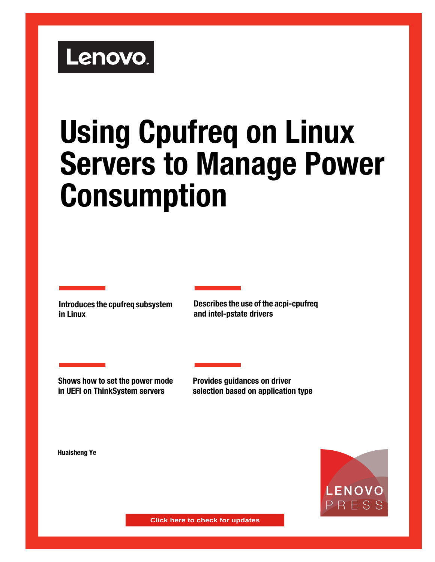# Lenovo.

# **Using Cpufreq on Linux Servers to Manage Power Consumption**

**Introduces the cpufreq subsystem in Linux**

**Describes the use of the acpi-cpufreq and intel-pstate drivers**

**Shows how to set the power mode in UEFI on ThinkSystem servers**

**Provides guidances on driver selection based on application type**

**Huaisheng Ye**



**Click here to check for updates**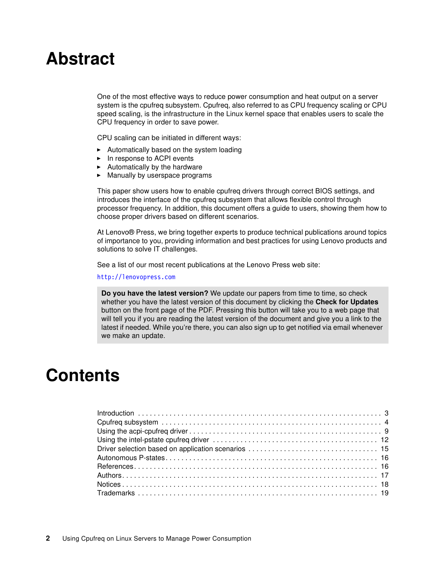# **Abstract**

One of the most effective ways to reduce power consumption and heat output on a server system is the cpufreq subsystem. Cpufreq, also referred to as CPU frequency scaling or CPU speed scaling, is the infrastructure in the Linux kernel space that enables users to scale the CPU frequency in order to save power.

CPU scaling can be initiated in different ways:

- Automatically based on the system loading
- ► In response to ACPI events
- -Automatically by the hardware
- -Manually by userspace programs

This paper show users how to enable cpufreq drivers through correct BIOS settings, and introduces the interface of the cpufreq subsystem that allows flexible control through processor frequency. In addition, this document offers a guide to users, showing them how to choose proper drivers based on different scenarios.

At Lenovo® Press, we bring together experts to produce technical publications around topics of importance to you, providing information and best practices for using Lenovo products and solutions to solve IT challenges.

See a list of our most recent publications at the Lenovo Press web site:

#### <http://lenovopress.com>

**Do you have the latest version?** We update our papers from time to time, so check whether you have the latest version of this document by clicking the **Check for Updates** button on the front page of the PDF. Pressing this button will take you to a web page that will tell you if you are reading the latest version of the document and give you a link to the latest if needed. While you're there, you can also sign up to get notified via email whenever we make an update.

# **Contents**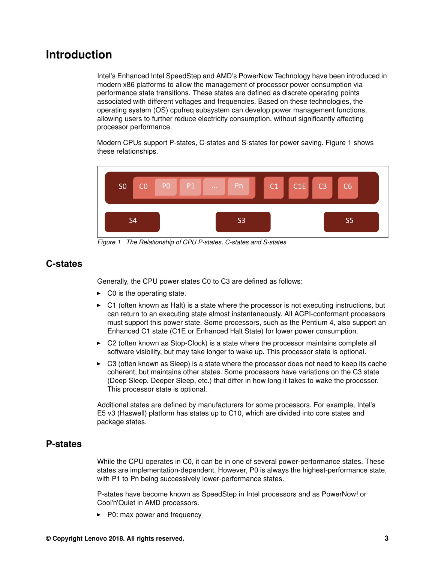# <span id="page-2-0"></span>**Introduction**

Intel's Enhanced Intel SpeedStep and AMD's PowerNow Technology have been introduced in modern x86 platforms to allow the management of processor power consumption via performance state transitions. These states are defined as discrete operating points associated with different voltages and frequencies. Based on these technologies, the operating system (OS) cpufreq subsystem can develop power management functions, allowing users to further reduce electricity consumption, without significantly affecting processor performance.

Modern CPUs support P-states, C-states and S-states for power saving. [Figure 1](#page-2-1) shows these relationships.



<span id="page-2-1"></span>*Figure 1 The Relationship of CPU P-states, C-states and S-states*

#### **C-states**

Generally, the CPU power states C0 to C3 are defined as follows:

- $\triangleright$  C0 is the operating state.
- ► C1 (often known as Halt) is a state where the processor is not executing instructions, but can return to an executing state almost instantaneously. All ACPI-conformant processors must support this power state. Some processors, such as the Pentium 4, also support an Enhanced C1 state (C1E or Enhanced Halt State) for lower power consumption.
- ► C2 (often known as Stop-Clock) is a state where the processor maintains complete all software visibility, but may take longer to wake up. This processor state is optional.
- ► C3 (often known as Sleep) is a state where the processor does not need to keep its cache coherent, but maintains other states. Some processors have variations on the C3 state (Deep Sleep, Deeper Sleep, etc.) that differ in how long it takes to wake the processor. This processor state is optional.

Additional states are defined by manufacturers for some processors. For example, Intel's E5 v3 (Haswell) platform has states up to C10, which are divided into core states and package states.

#### **P-states**

While the CPU operates in C0, it can be in one of several power-performance states. These states are implementation-dependent. However, P0 is always the highest-performance state, with P1 to Pn being successively lower-performance states.

P-states have become known as SpeedStep in Intel processors and as PowerNow! or Cool'n'Quiet in AMD processors.

► P0: max power and frequency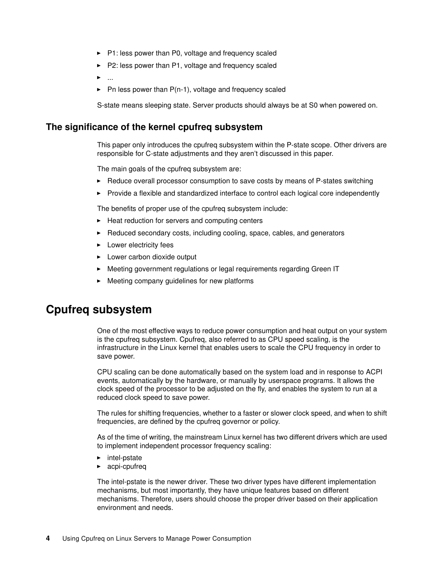- ► P1: less power than P0, voltage and frequency scaled
- ► P2: less power than P1, voltage and frequency scaled
- -...
- -Pn less power than P(n-1), voltage and frequency scaled

S-state means sleeping state. Server products should always be at S0 when powered on.

#### **The significance of the kernel cpufreq subsystem**

This paper only introduces the cpufreq subsystem within the P-state scope. Other drivers are responsible for C-state adjustments and they aren't discussed in this paper.

The main goals of the cpufreq subsystem are:

- ► Reduce overall processor consumption to save costs by means of P-states switching
- Provide a flexible and standardized interface to control each logical core independently

The benefits of proper use of the cpufreq subsystem include:

- ► Heat reduction for servers and computing centers
- ► Reduced secondary costs, including cooling, space, cables, and generators
- **Lower electricity fees**
- **EXEC** Lower carbon dioxide output
- -Meeting government regulations or legal requirements regarding Green IT
- -Meeting company guidelines for new platforms

### <span id="page-3-0"></span>**Cpufreq subsystem**

One of the most effective ways to reduce power consumption and heat output on your system is the cpufreq subsystem. Cpufreq, also referred to as CPU speed scaling, is the infrastructure in the Linux kernel that enables users to scale the CPU frequency in order to save power.

CPU scaling can be done automatically based on the system load and in response to ACPI events, automatically by the hardware, or manually by userspace programs. It allows the clock speed of the processor to be adjusted on the fly, and enables the system to run at a reduced clock speed to save power.

The rules for shifting frequencies, whether to a faster or slower clock speed, and when to shift frequencies, are defined by the cpufreq governor or policy.

As of the time of writing, the mainstream Linux kernel has two different drivers which are used to implement independent processor frequency scaling:

- intel-pstate
- acpi-cpufreq

The intel-pstate is the newer driver. These two driver types have different implementation mechanisms, but most importantly, they have unique features based on different mechanisms. Therefore, users should choose the proper driver based on their application environment and needs.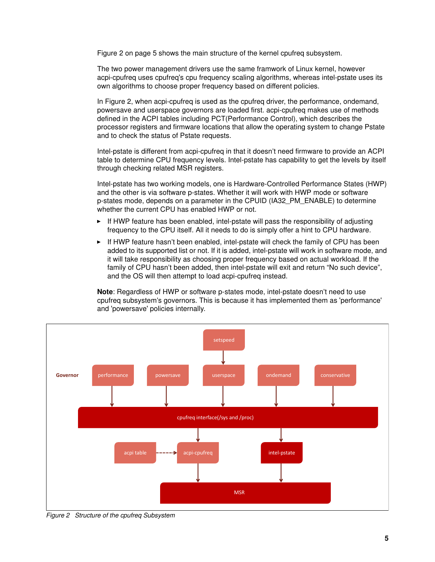[Figure 2 on page 5](#page-4-0) shows the main structure of the kernel cpufreq subsystem.

The two power management drivers use the same framwork of Linux kernel, however acpi-cpufreq uses cpufreq's cpu frequency scaling algorithms, whereas intel-pstate uses its own algorithms to choose proper frequency based on different policies.

In [Figure 2,](#page-4-0) when acpi-cpufreq is used as the cpufreq driver, the performance, ondemand, powersave and userspace governors are loaded first. acpi-cpufreq makes use of methods defined in the ACPI tables including PCT(Performance Control), which describes the processor registers and firmware locations that allow the operating system to change Pstate and to check the status of Pstate requests.

Intel-pstate is different from acpi-cpufreq in that it doesn't need firmware to provide an ACPI table to determine CPU frequency levels. Intel-pstate has capability to get the levels by itself through checking related MSR registers.

Intel-pstate has two working models, one is Hardware-Controlled Performance States (HWP) and the other is via software p-states. Whether it will work with HWP mode or software p-states mode, depends on a parameter in the CPUID (IA32\_PM\_ENABLE) to determine whether the current CPU has enabled HWP or not.

- If HWP feature has been enabled, intel-pstate will pass the responsibility of adjusting frequency to the CPU itself. All it needs to do is simply offer a hint to CPU hardware.
- ► If HWP feature hasn't been enabled, intel-pstate will check the family of CPU has been added to its supported list or not. If it is added, intel-pstate will work in software mode, and it will take responsibility as choosing proper frequency based on actual workload. If the family of CPU hasn't been added, then intel-pstate will exit and return "No such device", and the OS will then attempt to load acpi-cpufreq instead.

**Note**: Regardless of HWP or software p-states mode, intel-pstate doesn't need to use cpufreq subsystem's governors. This is because it has implemented them as 'performance' and 'powersave' policies internally.



<span id="page-4-0"></span>*Figure 2 Structure of the cpufreq Subsystem*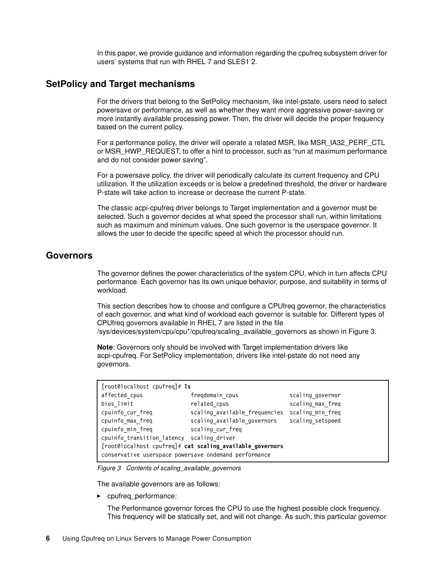In this paper, we provide guidance and information regarding the cpufreq subsystem driver for users' systems that run with RHEL 7 and SLES1 2.

#### **SetPolicy and Target mechanisms**

For the drivers that belong to the SetPolicy mechanism, like intel-pstate, users need to select powersave or performance, as well as whether they want more aggressive power-saving or more instantly available processing power. Then, the driver will decide the proper frequency based on the current policy.

For a performance policy, the driver will operate a related MSR, like MSR\_IA32\_PERF\_CTL or MSR\_HWP\_REQUEST, to offer a hint to processor, such as "run at maximum performance and do not consider power saving".

For a powersave policy, the driver will periodically calculate its current frequency and CPU utilization. If the utilization exceeds or is below a predefined threshold, the driver or hardware P-state will take action to increase or decrease the current P-state.

The classic acpi-cpufreq driver belongs to Target implementation and a governor must be selected. Such a governor decides at what speed the processor shall run, within limitations such as maximum and minimum values. One such governor is the userspace governor. It allows the user to decide the specific speed at which the processor should run.

#### **Governors**

The governor defines the power characteristics of the system CPU, which in turn affects CPU performance. Each governor has its own unique behavior, purpose, and suitability in terms of workload.

This section describes how to choose and configure a CPUfreq governor, the characteristics of each governor, and what kind of workload each governor is suitable for. Different types of CPUfreq governors available in RHEL 7 are listed in the file /sys/devices/system/cpu/cpu\*/cpufreq/scaling\_available\_governors as shown in [Figure 3](#page-5-0).

**Note**: Governors only should be involved with Target implementation drivers like acpi-cpufreq. For SetPolicy implementation, drivers like intel-pstate do not need any governors.

| $[root@localhost cupfreq]$ # 1s                           |                               |                  |  |  |
|-----------------------------------------------------------|-------------------------------|------------------|--|--|
| affected cpus                                             | freqdomain cpus               | scaling governor |  |  |
| bios limit                                                | related cpus                  | scaling max freq |  |  |
| cpuinfo cur freq                                          | scaling available frequencies | scaling min freq |  |  |
| cpuinfo max freq                                          | scaling available governors   | scaling setspeed |  |  |
| cpuinfo min freq                                          | scaling cur freq              |                  |  |  |
| cpuinfo transition latency scaling driver                 |                               |                  |  |  |
| [root@localhost cpufreq]# cat scaling available governors |                               |                  |  |  |
| conservative userspace powersave ondemand performance     |                               |                  |  |  |

<span id="page-5-0"></span>*Figure 3 Contents of scaling\_available\_governors*

The available governors are as follows:

- cpufreq\_performance:

The Performance governor forces the CPU to use the highest possible clock frequency. This frequency will be statically set, and will not change. As such, this particular governor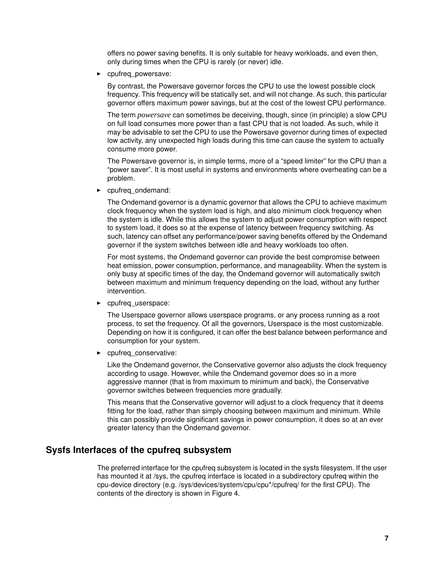offers no power saving benefits. It is only suitable for heavy workloads, and even then, only during times when the CPU is rarely (or never) idle.

cpufreq\_powersave:

> By contrast, the Powersave governor forces the CPU to use the lowest possible clock frequency. This frequency will be statically set, and will not change. As such, this particular governor offers maximum power savings, but at the cost of the lowest CPU performance.

> The term *powersave* can sometimes be deceiving, though, since (in principle) a slow CPU on full load consumes more power than a fast CPU that is not loaded. As such, while it may be advisable to set the CPU to use the Powersave governor during times of expected low activity, any unexpected high loads during this time can cause the system to actually consume more power.

> The Powersave governor is, in simple terms, more of a "speed limiter" for the CPU than a "power saver". It is most useful in systems and environments where overheating can be a problem.

- cpufreq\_ondemand:

The Ondemand governor is a dynamic governor that allows the CPU to achieve maximum clock frequency when the system load is high, and also minimum clock frequency when the system is idle. While this allows the system to adjust power consumption with respect to system load, it does so at the expense of latency between frequency switching. As such, latency can offset any performance/power saving benefits offered by the Ondemand governor if the system switches between idle and heavy workloads too often.

For most systems, the Ondemand governor can provide the best compromise between heat emission, power consumption, performance, and manageability. When the system is only busy at specific times of the day, the Ondemand governor will automatically switch between maximum and minimum frequency depending on the load, without any further intervention.

- cpufreq\_userspace:

The Userspace governor allows userspace programs, or any process running as a root process, to set the frequency. Of all the governors, Userspace is the most customizable. Depending on how it is configured, it can offer the best balance between performance and consumption for your system.

cpufreq\_conservative:

> Like the Ondemand governor, the Conservative governor also adjusts the clock frequency according to usage. However, while the Ondemand governor does so in a more aggressive manner (that is from maximum to minimum and back), the Conservative governor switches between frequencies more gradually.

> This means that the Conservative governor will adjust to a clock frequency that it deems fitting for the load, rather than simply choosing between maximum and minimum. While this can possibly provide significant savings in power consumption, it does so at an ever greater latency than the Ondemand governor.

#### **Sysfs Interfaces of the cpufreq subsystem**

The preferred interface for the cpufreq subsystem is located in the sysfs filesystem. If the user has mounted it at /sys, the cpufreq interface is located in a subdirectory cpufreq within the cpu-device directory (e.g. /sys/devices/system/cpu/cpu\*/cpufreq/ for the first CPU). The contents of the directory is shown in [Figure 4](#page-7-0).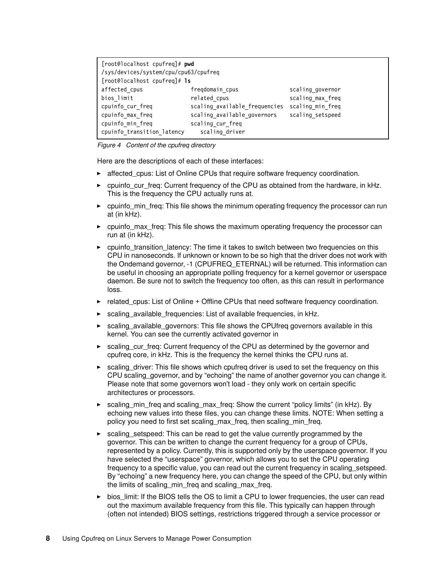| [root@localhost cpufreq]# pwd<br>/sys/devices/system/cpu/cpu63/cpufreq |                               |                  |  |  |
|------------------------------------------------------------------------|-------------------------------|------------------|--|--|
| $[root@localhost cupfreq]$ # 1s                                        |                               |                  |  |  |
| affected cpus                                                          | fregdomain cpus               | scaling governor |  |  |
| bios limit                                                             | related cpus                  | scaling max freq |  |  |
| cpuinfo cur_freq                                                       | scaling available frequencies | scaling min freq |  |  |
| cpuinfo max freq                                                       | scaling available governors   | scaling setspeed |  |  |
| cpuinfo min freq                                                       | scaling cur freq              |                  |  |  |
| cpuinfo transition latency                                             | scaling driver                |                  |  |  |

<span id="page-7-0"></span>*Figure 4 Content of the cpufreq directory*

Here are the descriptions of each of these interfaces:

- affected\_cpus: List of Online CPUs that require software frequency coordination.
- cpuinfo cur freq: Current frequency of the CPU as obtained from the hardware, in kHz. This is the frequency the CPU actually runs at.
- ► cpuinfo\_min\_freq: This file shows the minimum operating frequency the processor can run at (in kHz).
- ► cpuinfo\_max\_freq: This file shows the maximum operating frequency the processor can run at (in kHz).
- ► cpuinfo\_transition\_latency: The time it takes to switch between two frequencies on this CPU in nanoseconds. If unknown or known to be so high that the driver does not work with the Ondemand governor, -1 (CPUFREQ\_ETERNAL) will be returned. This information can be useful in choosing an appropriate polling frequency for a kernel governor or userspace daemon. Be sure not to switch the frequency too often, as this can result in performance loss.
- ► related\_cpus: List of Online + Offline CPUs that need software frequency coordination.
- ► scaling\_available\_frequencies: List of available frequencies, in kHz.
- ► scaling\_available\_governors: This file shows the CPUfreq governors available in this kernel. You can see the currently activated governor in
- scaling\_cur\_freq: Current frequency of the CPU as determined by the governor and cpufreq core, in kHz. This is the frequency the kernel thinks the CPU runs at.
- ► scaling\_driver: This file shows which cpufreq driver is used to set the frequency on this CPU scaling\_governor, and by "echoing" the name of another governor you can change it. Please note that some governors won't load - they only work on certain specific architectures or processors.
- ► scaling\_min\_freq and scaling\_max\_freq: Show the current "policy limits" (in kHz). By echoing new values into these files, you can change these limits. NOTE: When setting a policy you need to first set scaling\_max\_freq, then scaling\_min\_freq.
- scaling\_setspeed: This can be read to get the value currently programmed by the governor. This can be written to change the current frequency for a group of CPUs, represented by a policy. Currently, this is supported only by the userspace governor. If you have selected the "userspace" governor, which allows you to set the CPU operating frequency to a specific value, you can read out the current frequency in scaling\_setspeed. By "echoing" a new frequency here, you can change the speed of the CPU, but only within the limits of scaling\_min\_freq and scaling\_max\_freq.
- ► bios\_limit: If the BIOS tells the OS to limit a CPU to lower frequencies, the user can read out the maximum available frequency from this file. This typically can happen through (often not intended) BIOS settings, restrictions triggered through a service processor or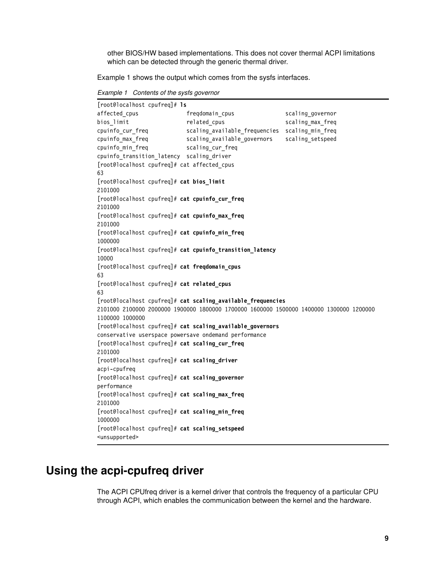other BIOS/HW based implementations. This does not cover thermal ACPI limitations which can be detected through the generic thermal driver.

[Example 1](#page-8-1) shows the output which comes from the sysfs interfaces.

<span id="page-8-1"></span>*Example 1 Contents of the sysfs governor*

[root@localhost cpufreq]# **ls** affected cpus freqdomain cpus scaling governor bios limit related cpus scaling max freq cpuinfo cur freq scaling available frequencies scaling min freq cpuinfo max freq scaling available governors scaling setspeed cpuinfo\_min\_freq scaling cur freq cpuinfo\_transition\_latency scaling\_driver [root@localhost cpufreq]# cat affected\_cpus 63 [root@localhost cpufreq]# **cat bios\_limit** 2101000 [root@localhost cpufreq]# **cat cpuinfo\_cur\_freq** 2101000 [root@localhost cpufreq]# **cat cpuinfo\_max\_freq** 2101000 [root@localhost cpufreq]# **cat cpuinfo\_min\_freq** 1000000 [root@localhost cpufreq]# **cat cpuinfo\_transition\_latency** 10000 [root@localhost cpufreq]# **cat freqdomain\_cpus** 63 [root@localhost cpufreq]# **cat related\_cpus** 63 [root@localhost cpufreq]# **cat scaling\_available\_frequencies** 2101000 2100000 2000000 1900000 1800000 1700000 1600000 1500000 1400000 1300000 1200000 1100000 1000000 [root@localhost cpufreq]# **cat scaling\_available\_governors** conservative userspace powersave ondemand performance [root@localhost cpufreq]# **cat scaling\_cur\_freq** 2101000 [root@localhost cpufreq]# **cat scaling\_driver** acpi-cpufreq [root@localhost cpufreq]# **cat scaling\_governor** performance [root@localhost cpufreq]# **cat scaling\_max\_freq** 2101000 [root@localhost cpufreq]# **cat scaling\_min\_freq** 1000000 [root@localhost cpufreq]# **cat scaling\_setspeed** <unsupported>

# <span id="page-8-0"></span>**Using the acpi-cpufreq driver**

The ACPI CPUfreq driver is a kernel driver that controls the frequency of a particular CPU through ACPI, which enables the communication between the kernel and the hardware.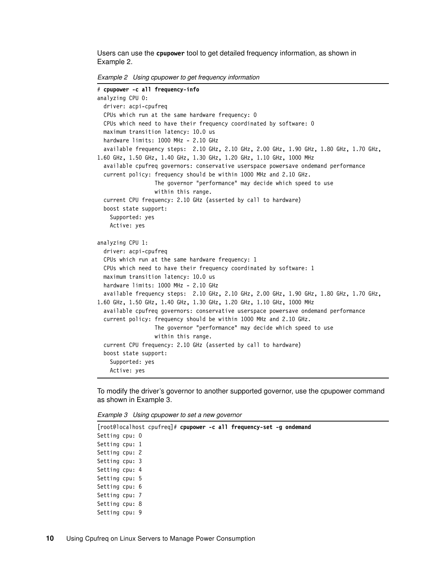Users can use the **cpupower** tool to get detailed frequency information, as shown in [Example 2](#page-9-0).

<span id="page-9-0"></span>*Example 2 Using cpupower to get frequency information*

```
# cpupower -c all frequency-info
analyzing CPU 0:
   driver: acpi-cpufreq
   CPUs which run at the same hardware frequency: 0
   CPUs which need to have their frequency coordinated by software: 0
   maximum transition latency: 10.0 us
   hardware limits: 1000 MHz - 2.10 GHz
   available frequency steps: 2.10 GHz, 2.10 GHz, 2.00 GHz, 1.90 GHz, 1.80 GHz, 1.70 GHz, 
1.60 GHz, 1.50 GHz, 1.40 GHz, 1.30 GHz, 1.20 GHz, 1.10 GHz, 1000 MHz
   available cpufreq governors: conservative userspace powersave ondemand performance
   current policy: frequency should be within 1000 MHz and 2.10 GHz.
                   The governor "performance" may decide which speed to use
                   within this range.
   current CPU frequency: 2.10 GHz (asserted by call to hardware)
   boost state support:
     Supported: yes
    Active: yes
analyzing CPU 1:
   driver: acpi-cpufreq
   CPUs which run at the same hardware frequency: 1
   CPUs which need to have their frequency coordinated by software: 1
   maximum transition latency: 10.0 us
   hardware limits: 1000 MHz - 2.10 GHz
   available frequency steps: 2.10 GHz, 2.10 GHz, 2.00 GHz, 1.90 GHz, 1.80 GHz, 1.70 GHz, 
1.60 GHz, 1.50 GHz, 1.40 GHz, 1.30 GHz, 1.20 GHz, 1.10 GHz, 1000 MHz
   available cpufreq governors: conservative userspace powersave ondemand performance
   current policy: frequency should be within 1000 MHz and 2.10 GHz.
                   The governor "performance" may decide which speed to use
                   within this range.
   current CPU frequency: 2.10 GHz (asserted by call to hardware)
   boost state support:
    Supported: yes
     Active: yes
```
To modify the driver's governor to another supported governor, use the cpupower command as shown in [Example 3.](#page-9-1)

<span id="page-9-1"></span>*Example 3 Using cpupower to set a new governor*

```
[root@localhost cpufreq]# cpupower -c all frequency-set -g ondemand
Setting cpu: 0
Setting cpu: 1
Setting cpu: 2
Setting cpu: 3
Setting cpu: 4
Setting cpu: 5
Setting cpu: 6
Setting cpu: 7
Setting cpu: 8
Setting cpu: 9
```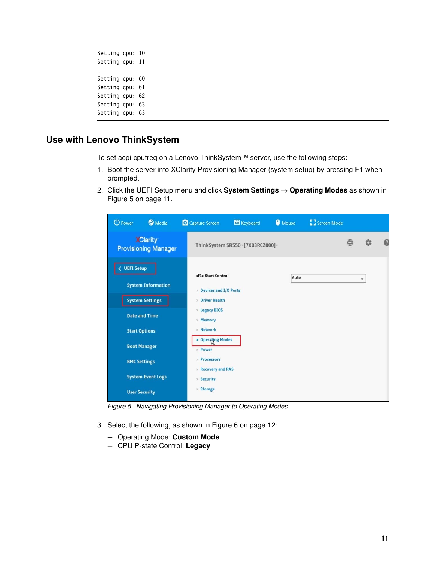```
Setting cpu: 10
Setting cpu: 11
…
Setting cpu: 60
Setting cpu: 61
Setting cpu: 62
Setting cpu: 63
Setting cpu: 63
```
## **Use with Lenovo ThinkSystem**

To set acpi-cpufreq on a Lenovo ThinkSystem™ server, use the following steps:

- 1. Boot the server into XClarity Provisioning Manager (system setup) by pressing F1 when prompted.
- 2. Click the UEFI Setup menu and click **System Settings** → **Operating Modes** as shown in [Figure 5 on page 11.](#page-10-0)

| <b>Media</b><br>O Power                                             | Capture Screen                                                                                       | <b>EB</b> Keyboard               | <b>O</b> Mouse | <b>E</b> Screen Mode |   |               |   |
|---------------------------------------------------------------------|------------------------------------------------------------------------------------------------------|----------------------------------|----------------|----------------------|---|---------------|---|
| <b>XClarity</b><br><b>Provisioning Manager</b>                      |                                                                                                      | ThinkSystem SR550 -[7X03RCZ000]- |                |                      | ∰ |               | Ø |
| < UEFI Setup<br><b>System Information</b><br><b>System Settings</b> | <f1> Start Control<br/>&gt; Devices and I/O Ports<br/><b>Driver Health</b><br/>&gt; Legacy BIOS</f1> |                                  | Auto           |                      |   | $\mathbb {V}$ |   |
| <b>Date and Time</b><br><b>Start Options</b>                        | > Memory<br>> Network<br>> Operating Modes                                                           |                                  |                |                      |   |               |   |
| <b>Boot Manager</b><br><b>BMC Settings</b>                          | > Power<br>$\ge$ Processors<br>Recovery and RAS                                                      |                                  |                |                      |   |               |   |
| <b>System Event Logs</b><br><b>User Security</b>                    | > Security<br>> Storage                                                                              |                                  |                |                      |   |               |   |

<span id="page-10-0"></span>*Figure 5 Navigating Provisioning Manager to Operating Modes*

- 3. Select the following, as shown in [Figure 6 on page 12:](#page-11-1)
	- Operating Mode: **Custom Mode**
	- CPU P-state Control: **Legacy**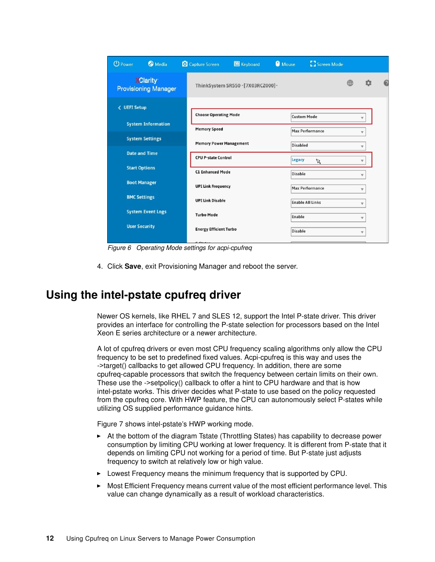| <b>O</b> Media<br><b>U</b> Power               | Capture Screen                 | <b>Ed</b> Keyboard               | <b>O</b> Mouse  | Screen Mode             |   |                         |   |
|------------------------------------------------|--------------------------------|----------------------------------|-----------------|-------------------------|---|-------------------------|---|
| <b>XClarity</b><br><b>Provisioning Manager</b> |                                | ThinkSystem SR550 -[7X03RCZ000]- |                 |                         | ⊕ | Ω                       | C |
| <b>UEFI Setup</b><br>₹                         | <b>Choose Operating Mode</b>   |                                  |                 | <b>Custom Mode</b>      |   | v                       |   |
| <b>System Information</b>                      | <b>Memory Speed</b>            |                                  |                 | <b>Max Performance</b>  |   | v                       |   |
| <b>System Settings</b>                         | <b>Memory Power Management</b> |                                  | <b>Disabled</b> |                         |   | v                       |   |
| <b>Date and Time</b>                           | <b>CPU P-state Control</b>     |                                  | Legacy          |                         |   | v                       |   |
| <b>Start Options</b>                           | <b>C1 Enhanced Mode</b>        |                                  | <b>Disable</b>  | A                       |   | v                       |   |
| <b>Boot Manager</b>                            | <b>UPI Link Frequency</b>      |                                  |                 | <b>Max Performance</b>  |   | A.                      |   |
| <b>BMC Settings</b>                            | <b>UPI Link Disable</b>        |                                  |                 | <b>Enable All Links</b> |   | v                       |   |
| <b>System Event Logs</b>                       | <b>Turbo Mode</b>              |                                  | Enable          |                         |   | $\overline{\mathbf{v}}$ |   |
| <b>User Security</b>                           | <b>Energy Efficient Turbo</b>  |                                  | <b>Disable</b>  |                         |   | v                       |   |
|                                                | $ -$                           |                                  |                 |                         |   |                         |   |

<span id="page-11-1"></span>*Figure 6 Operating Mode settings for acpi-cpufreq*

4. Click **Save**, exit Provisioning Manager and reboot the server.

# <span id="page-11-0"></span>**Using the intel-pstate cpufreq driver**

Newer OS kernels, like RHEL 7 and SLES 12, support the Intel P-state driver. This driver provides an interface for controlling the P-state selection for processors based on the Intel Xeon E series architecture or a newer architecture.

A lot of cpufreq drivers or even most CPU frequency scaling algorithms only allow the CPU frequency to be set to predefined fixed values. Acpi-cpufreq is this way and uses the ->target() callbacks to get allowed CPU frequency. In addition, there are some cpufreq-capable processors that switch the frequency between certain limits on their own. These use the ->setpolicy() callback to offer a hint to CPU hardware and that is how intel-pstate works. This driver decides what P-state to use based on the policy requested from the cpufreq core. With HWP feature, the CPU can autonomously select P-states while utilizing OS supplied performance guidance hints.

[Figure 7](#page-12-0) shows intel-pstate's HWP working mode.

- ► At the bottom of the diagram Tstate (Throttling States) has capability to decrease power consumption by limiting CPU working at lower frequency. It is different from P-state that it depends on limiting CPU not working for a period of time. But P-state just adjusts frequency to switch at relatively low or high value.
- ► Lowest Frequency means the minimum frequency that is supported by CPU.
- - Most Efficient Frequency means current value of the most efficient performance level. This value can change dynamically as a result of workload characteristics.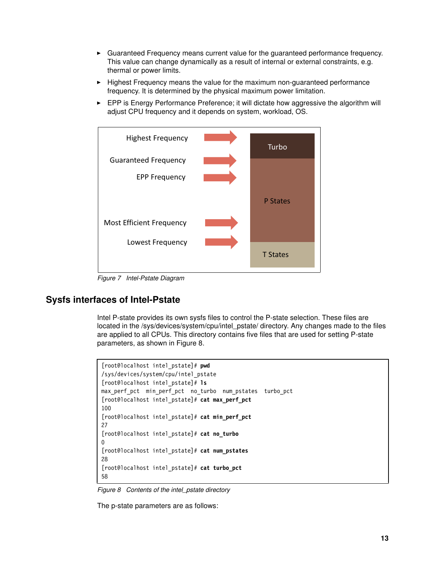- Guaranteed Frequency means current value for the guaranteed performance frequency. This value can change dynamically as a result of internal or external constraints, e.g. thermal or power limits.
- Highest Frequency means the value for the maximum non-guaranteed performance frequency. It is determined by the physical maximum power limitation.
- ► EPP is Energy Performance Preference; it will dictate how aggressive the algorithm will adjust CPU frequency and it depends on system, workload, OS.



<span id="page-12-0"></span>*Figure 7 Intel-Pstate Diagram*

#### **Sysfs interfaces of Intel-Pstate**

Intel P-state provides its own sysfs files to control the P-state selection. These files are located in the /sys/devices/system/cpu/intel\_pstate/ directory. Any changes made to the files are applied to all CPUs. This directory contains five files that are used for setting P-state parameters, as shown in [Figure 8](#page-12-1).

```
[root@localhost intel_pstate]# pwd
/sys/devices/system/cpu/intel_pstate
[root@localhost intel_pstate]# ls
max perf pct min perf pct no turbo num pstates turbo pct
[root@localhost intel_pstate]# cat max_perf_pct
100
[root@localhost intel_pstate]# cat min_perf_pct
27
[root@localhost intel_pstate]# cat no_turbo
\Omega[root@localhost intel_pstate]# cat num_pstates
28
[root@localhost intel_pstate]# cat turbo_pct
58
```
<span id="page-12-1"></span>*Figure 8 Contents of the intel\_pstate directory*

The p-state parameters are as follows: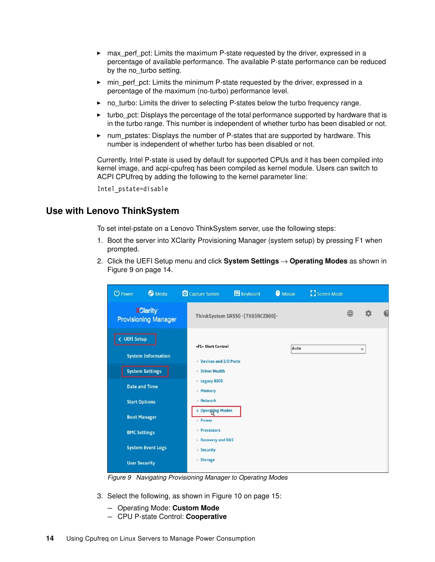- max\_perf\_pct: Limits the maximum P-state requested by the driver, expressed in a percentage of available performance. The available P-state performance can be reduced by the no\_turbo setting.
- ► min\_perf\_pct: Limits the minimum P-state requested by the driver, expressed in a percentage of the maximum (no-turbo) performance level.
- no\_turbo: Limits the driver to selecting P-states below the turbo frequency range.
- turbo\_pct: Displays the percentage of the total performance supported by hardware that is in the turbo range. This number is independent of whether turbo has been disabled or not.
- ► num\_pstates: Displays the number of P-states that are supported by hardware. This number is independent of whether turbo has been disabled or not.

Currently, Intel P-state is used by default for supported CPUs and it has been compiled into kernel image, and acpi-cpufreq has been compiled as kernel module. Users can switch to ACPI CPUfreq by adding the following to the kernel parameter line:

Intel\_pstate=disable

#### **Use with Lenovo ThinkSystem**

To set intel-pstate on a Lenovo ThinkSystem server, use the following steps:

- 1. Boot the server into XClarity Provisioning Manager (system setup) by pressing F1 when prompted.
- 2. Click the UEFI Setup menu and click **System Settings** → **Operating Modes** as shown in [Figure 9 on page 14.](#page-13-0)

| <b>Media</b><br><b>U</b> Power                 | Capture Screen                                         | <b>图</b> Keyboard                | <b>O</b> Mouse | <b>E</b> Screen Mode |   |   |  |
|------------------------------------------------|--------------------------------------------------------|----------------------------------|----------------|----------------------|---|---|--|
| <b>XClarity</b><br><b>Provisioning Manager</b> |                                                        | ThinkSystem SR550 -[7X03RCZ000]- |                |                      | ⊕ | ń |  |
| < UEFI Setup<br><b>System Information</b>      | <f1> Start Control<br/>&gt; Devices and I/O Ports</f1> |                                  | Auto           |                      |   | v |  |
| <b>System Settings</b>                         | <b>Driver Health</b>                                   |                                  |                |                      |   |   |  |
| <b>Date and Time</b>                           | > Legacy BIOS<br>> Memory                              |                                  |                |                      |   |   |  |
| <b>Start Options</b>                           | > Network                                              |                                  |                |                      |   |   |  |
| <b>Boot Manager</b>                            | > Operating Modes<br>> Power                           |                                  |                |                      |   |   |  |
| <b>BMC Settings</b>                            | $\ge$ Processors                                       |                                  |                |                      |   |   |  |
| <b>System Event Logs</b>                       | Recovery and RAS<br>> Security                         |                                  |                |                      |   |   |  |
| <b>User Security</b>                           | > Storage                                              |                                  |                |                      |   |   |  |

<span id="page-13-0"></span>*Figure 9 Navigating Provisioning Manager to Operating Modes*

- 3. Select the following, as shown in [Figure 10 on page 15](#page-14-1):
	- Operating Mode: **Custom Mode**
	- CPU P-state Control: **Cooperative**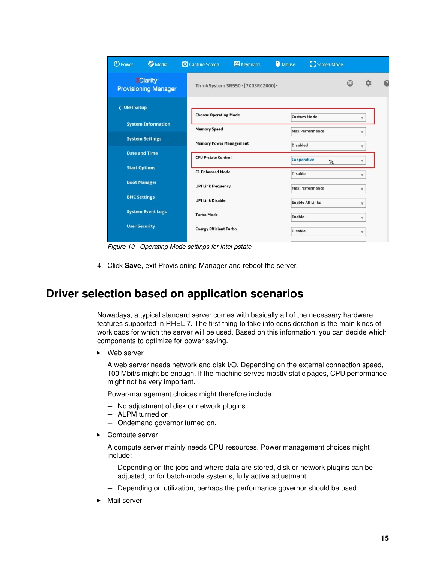| <b>O</b> Media<br><b>U</b> Power               | C Capture Screen               | Keyboard                         | <b>O</b> Mouse  | Screen Mode             |   |              |   |
|------------------------------------------------|--------------------------------|----------------------------------|-----------------|-------------------------|---|--------------|---|
| <b>XClarity</b><br><b>Provisioning Manager</b> |                                | ThinkSystem SR550 -[7X03RCZ000]- |                 |                         | ⊕ | Ω            | G |
| <b>&lt; UEFI Setup</b>                         | <b>Choose Operating Mode</b>   |                                  |                 | <b>Custom Mode</b>      |   |              |   |
| <b>System Information</b>                      | <b>Memory Speed</b>            |                                  |                 | <b>Max Performance</b>  |   | v            |   |
| <b>System Settings</b>                         | <b>Memory Power Management</b> |                                  | <b>Disabled</b> |                         |   | v            |   |
| <b>Date and Time</b>                           | <b>CPU P-state Control</b>     |                                  |                 | Cooperative             |   |              |   |
| <b>Start Options</b>                           | <b>C1 Enhanced Mode</b>        |                                  | <b>Disable</b>  | $\mathbb Z$             |   | v            |   |
| <b>Boot Manager</b>                            | <b>UPI Link Frequency</b>      |                                  |                 |                         |   | v            |   |
| <b>BMC Settings</b>                            |                                |                                  |                 | <b>Max Performance</b>  |   | v            |   |
|                                                | <b>UPI Link Disable</b>        |                                  |                 | <b>Enable All Links</b> |   | v            |   |
| <b>System Event Logs</b>                       | <b>Turbo Mode</b>              |                                  | Enable          |                         |   | v            |   |
| <b>User Security</b>                           | <b>Energy Efficient Turbo</b>  |                                  | <b>Disable</b>  |                         |   | $\mathbf{v}$ |   |

<span id="page-14-1"></span>*Figure 10 Operating Mode settings for intel-pstate*

4. Click **Save**, exit Provisioning Manager and reboot the server.

# <span id="page-14-0"></span>**Driver selection based on application scenarios**

Nowadays, a typical standard server comes with basically all of the necessary hardware features supported in RHEL 7. The first thing to take into consideration is the main kinds of workloads for which the server will be used. Based on this information, you can decide which components to optimize for power saving.

► Web server

A web server needs network and disk I/O. Depending on the external connection speed, 100 Mbit/s might be enough. If the machine serves mostly static pages, CPU performance might not be very important.

Power-management choices might therefore include:

- No adjustment of disk or network plugins.
- ALPM turned on.
- Ondemand governor turned on.
- **Example Server**

A compute server mainly needs CPU resources. Power management choices might include:

- Depending on the jobs and where data are stored, disk or network plugins can be adjusted; or for batch-mode systems, fully active adjustment.
- Depending on utilization, perhaps the performance governor should be used.
- Mail server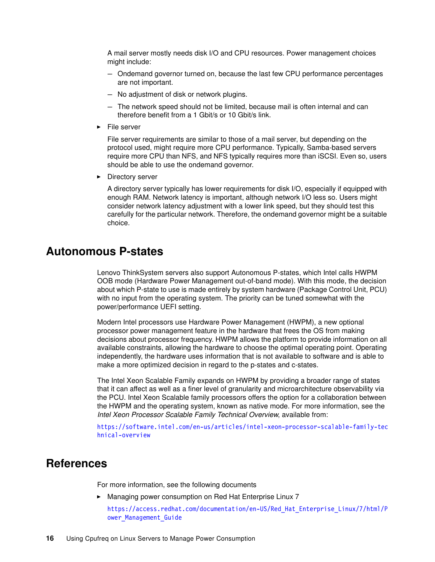A mail server mostly needs disk I/O and CPU resources. Power management choices might include:

- Ondemand governor turned on, because the last few CPU performance percentages are not important.
- No adjustment of disk or network plugins.
- The network speed should not be limited, because mail is often internal and can therefore benefit from a 1 Gbit/s or 10 Gbit/s link.
- -File server

File server requirements are similar to those of a mail server, but depending on the protocol used, might require more CPU performance. Typically, Samba-based servers require more CPU than NFS, and NFS typically requires more than iSCSI. Even so, users should be able to use the ondemand governor.

**Directory server** 

A directory server typically has lower requirements for disk I/O, especially if equipped with enough RAM. Network latency is important, although network I/O less so. Users might consider network latency adjustment with a lower link speed, but they should test this carefully for the particular network. Therefore, the ondemand governor might be a suitable choice.

#### <span id="page-15-0"></span>**Autonomous P-states**

Lenovo ThinkSystem servers also support Autonomous P-states, which Intel calls HWPM OOB mode (Hardware Power Management out-of-band mode). With this mode, the decision about which P-state to use is made entirely by system hardware (Package Control Unit, PCU) with no input from the operating system. The priority can be tuned somewhat with the power/performance UEFI setting.

Modern Intel processors use Hardware Power Management (HWPM), a new optional processor power management feature in the hardware that frees the OS from making decisions about processor frequency. HWPM allows the platform to provide information on all available constraints, allowing the hardware to choose the optimal operating point. Operating independently, the hardware uses information that is not available to software and is able to make a more optimized decision in regard to the p-states and c-states.

The Intel Xeon Scalable Family expands on HWPM by providing a broader range of states that it can affect as well as a finer level of granularity and microarchitecture observability via the PCU. Intel Xeon Scalable family processors offers the option for a collaboration between the HWPM and the operating system, known as native mode. For more information, see the *Intel Xeon Processor Scalable Family Technical Overview*, available from:

[https://software.intel.com/en-us/articles/intel-xeon-processor-scalable-family-tec](https://software.intel.com/en-us/articles/intel-xeon-processor-scalable-family-technical-overview) [hnical-overview](https://software.intel.com/en-us/articles/intel-xeon-processor-scalable-family-technical-overview)

## <span id="page-15-1"></span>**References**

For more information, see the following documents

► Managing power consumption on Red Hat Enterprise Linux 7

[https://access.redhat.com/documentation/en-US/Red\\_Hat\\_Enterprise\\_Linux/7/html/P](https://access.redhat.com/documentation/en-US/Red_Hat_Enterprise_Linux/7/html/Power_Management_Guide) ower Management Guide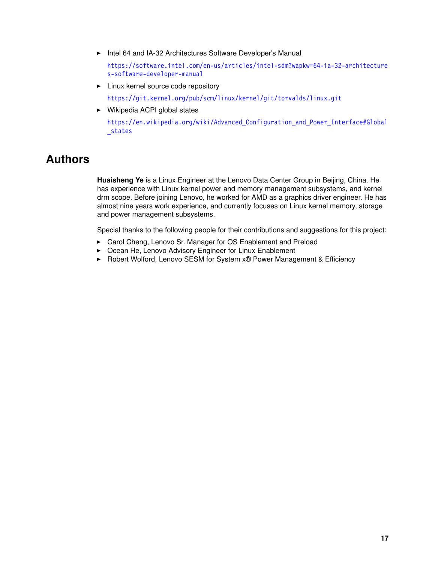- Intel 64 and IA-32 Architectures Software Developer's Manual

[https://software.intel.com/en-us/articles/intel-sdm?wapkw=64-ia-32-architecture](https://software.intel.com/en-us/articles/intel-sdm?wapkw=64-ia-32-architectures-software-developer-manual) [s-software-developer-manual](https://software.intel.com/en-us/articles/intel-sdm?wapkw=64-ia-32-architectures-software-developer-manual)

- **Example 21 Linux kernel source code repository** <https://git.kernel.org/pub/scm/linux/kernel/git/torvalds/linux.git>
- ► Wikipedia ACPI global states

https://en.wikipedia.org/wiki/Advanced Configuration and Power Interface#Global [\\_states](https://en.wikipedia.org/wiki/Advanced_Configuration_and_Power_Interface#Global_states)

# <span id="page-16-0"></span>**Authors**

**Huaisheng Ye** is a Linux Engineer at the Lenovo Data Center Group in Beijing, China. He has experience with Linux kernel power and memory management subsystems, and kernel drm scope. Before joining Lenovo, he worked for AMD as a graphics driver engineer. He has almost nine years work experience, and currently focuses on Linux kernel memory, storage and power management subsystems.

Special thanks to the following people for their contributions and suggestions for this project:

- ► Carol Cheng, Lenovo Sr. Manager for OS Enablement and Preload
- Ocean He, Lenovo Advisory Engineer for Linux Enablement
- ► Robert Wolford, Lenovo SESM for System x® Power Management & Efficiency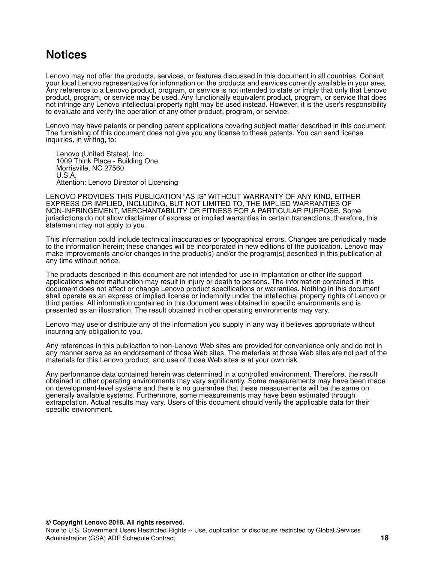# <span id="page-17-0"></span>**Notices**

Lenovo may not offer the products, services, or features discussed in this document in all countries. Consult your local Lenovo representative for information on the products and services currently available in your area. Any reference to a Lenovo product, program, or service is not intended to state or imply that only that Lenovo product, program, or service may be used. Any functionally equivalent product, program, or service that does not infringe any Lenovo intellectual property right may be used instead. However, it is the user's responsibility to evaluate and verify the operation of any other product, program, or service.

Lenovo may have patents or pending patent applications covering subject matter described in this document. The furnishing of this document does not give you any license to these patents. You can send license inquiries, in writing, to:

Lenovo (United States), Inc. 1009 Think Place - Building One Morrisville, NC 27560 U.S.A. Attention: Lenovo Director of Licensing

LENOVO PROVIDES THIS PUBLICATION "AS IS" WITHOUT WARRANTY OF ANY KIND, EITHER EXPRESS OR IMPLIED, INCLUDING, BUT NOT LIMITED TO, THE IMPLIED WARRANTIES OF NON-INFRINGEMENT, MERCHANTABILITY OR FITNESS FOR A PARTICULAR PURPOSE. Some jurisdictions do not allow disclaimer of express or implied warranties in certain transactions, therefore, this statement may not apply to you.

This information could include technical inaccuracies or typographical errors. Changes are periodically made to the information herein; these changes will be incorporated in new editions of the publication. Lenovo may make improvements and/or changes in the product(s) and/or the program(s) described in this publication at any time without notice.

The products described in this document are not intended for use in implantation or other life support applications where malfunction may result in injury or death to persons. The information contained in this document does not affect or change Lenovo product specifications or warranties. Nothing in this document shall operate as an express or implied license or indemnity under the intellectual property rights of Lenovo or third parties. All information contained in this document was obtained in specific environments and is presented as an illustration. The result obtained in other operating environments may vary.

Lenovo may use or distribute any of the information you supply in any way it believes appropriate without incurring any obligation to you.

Any references in this publication to non-Lenovo Web sites are provided for convenience only and do not in any manner serve as an endorsement of those Web sites. The materials at those Web sites are not part of the materials for this Lenovo product, and use of those Web sites is at your own risk.

Any performance data contained herein was determined in a controlled environment. Therefore, the result obtained in other operating environments may vary significantly. Some measurements may have been made on development-level systems and there is no guarantee that these measurements will be the same on generally available systems. Furthermore, some measurements may have been estimated through extrapolation. Actual results may vary. Users of this document should verify the applicable data for their specific environment.